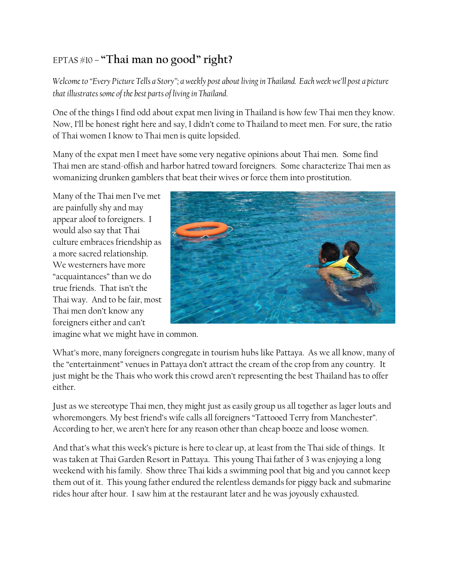## EPTAS #10 – **"Thai man no good" right?**

*Welcome to "Every Picture Tells a Story"; a weekly post about living in Thailand. Each week we'll post a picture that illustrates some of the best parts of living in Thailand.*

One of the things I find odd about expat men living in Thailand is how few Thai men they know. Now, I'll be honest right here and say, I didn't come to Thailand to meet men. For sure, the ratio of Thai women I know to Thai men is quite lopsided.

Many of the expat men I meet have some very negative opinions about Thai men. Some find Thai men are stand-offish and harbor hatred toward foreigners. Some characterize Thai men as womanizing drunken gamblers that beat their wives or force them into prostitution.

Many of the Thai men I've met are painfully shy and may appear aloof to foreigners. I would also say that Thai culture embraces friendship as a more sacred relationship. We westerners have more "acquaintances" than we do true friends. That isn't the Thai way. And to be fair, most Thai men don't know any foreigners either and can't



imagine what we might have in common.

What's more, many foreigners congregate in tourism hubs like Pattaya. As we all know, many of the "entertainment" venues in Pattaya don't attract the cream of the crop from any country. It just might be the Thais who work this crowd aren't representing the best Thailand has to offer either.

Just as we stereotype Thai men, they might just as easily group us all together as lager louts and whoremongers. My best friend's wife calls all foreigners "Tattooed Terry from Manchester". According to her, we aren't here for any reason other than cheap booze and loose women.

And that's what this week's picture is here to clear up, at least from the Thai side of things. It was taken at Thai Garden Resort in Pattaya. This young Thai father of 3 was enjoying a long weekend with his family. Show three Thai kids a swimming pool that big and you cannot keep them out of it. This young father endured the relentless demands for piggy back and submarine rides hour after hour. I saw him at the restaurant later and he was joyously exhausted.